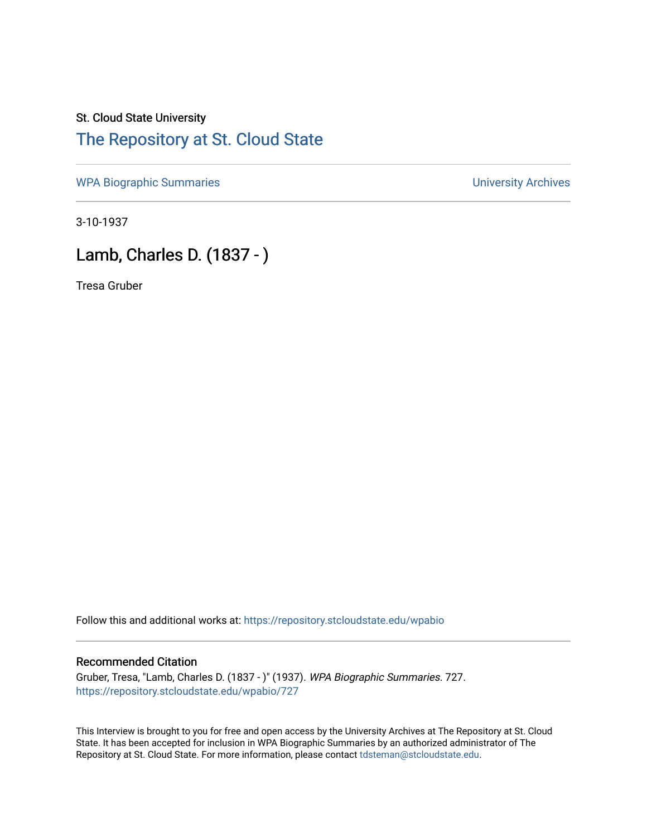# St. Cloud State University [The Repository at St. Cloud State](https://repository.stcloudstate.edu/)

[WPA Biographic Summaries](https://repository.stcloudstate.edu/wpabio) **WPA Biographic Summaries University Archives** 

3-10-1937

# Lamb, Charles D. (1837 - )

Tresa Gruber

Follow this and additional works at: [https://repository.stcloudstate.edu/wpabio](https://repository.stcloudstate.edu/wpabio?utm_source=repository.stcloudstate.edu%2Fwpabio%2F727&utm_medium=PDF&utm_campaign=PDFCoverPages) 

#### Recommended Citation

Gruber, Tresa, "Lamb, Charles D. (1837 - )" (1937). WPA Biographic Summaries. 727. [https://repository.stcloudstate.edu/wpabio/727](https://repository.stcloudstate.edu/wpabio/727?utm_source=repository.stcloudstate.edu%2Fwpabio%2F727&utm_medium=PDF&utm_campaign=PDFCoverPages) 

This Interview is brought to you for free and open access by the University Archives at The Repository at St. Cloud State. It has been accepted for inclusion in WPA Biographic Summaries by an authorized administrator of The Repository at St. Cloud State. For more information, please contact [tdsteman@stcloudstate.edu.](mailto:tdsteman@stcloudstate.edu)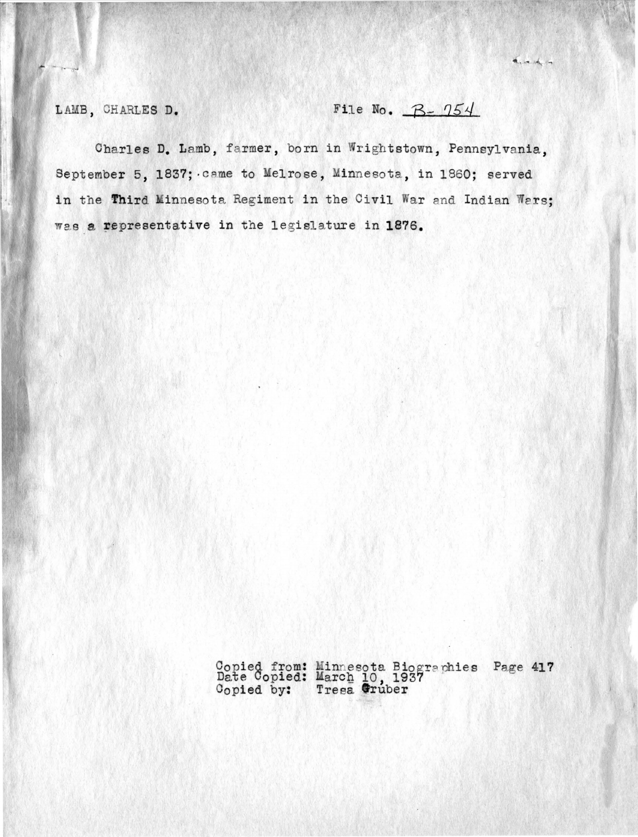# LAMB, CHARLES D. File No.  $B - 754$

anach in

Charles D. Lamb, farmer, born in Wrightstown, Pennsylvania, September 5, 1837; came to Melrose, Minnesota, in 1860; served in the Third Minnesota Regiment in the Civil War and Indian Wars; was a representative in the legislature in 1876.

> Copied from: Minnesota Biographies Page 417 Date Copied: March 10, 1937<sup>16</sup> Copied by: **Tresa** Gruber